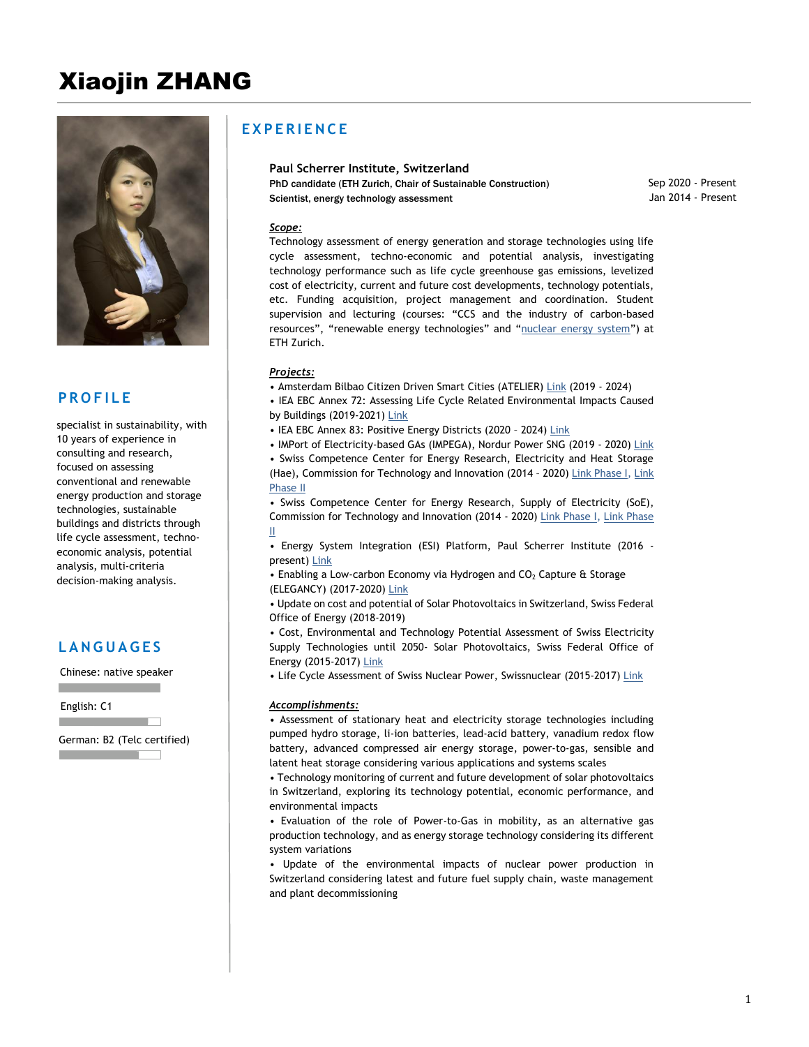# Xiaojin ZHANG



## **P R O F I L E**

specialist in sustainability, with 10 years of experience in consulting and research, focused on assessing conventional and renewable energy production and storage technologies, sustainable buildings and districts through life cycle assessment, technoeconomic analysis, potential analysis, multi-criteria decision-making analysis.

## **L A N G U A G E S**

Chinese: native speaker

English: C1

German: B2 (Telc certified) and the company of the company

**Contract Contract** 

## **E X P E R I E N C E**

#### **Paul Scherrer Institute, Switzerland**

PhD candidate (ETH Zurich, Chair of Sustainable Construction) Scientist, energy technology assessment

Jan 2014 - Present Sep 2020 - Present

#### *Scope:*

Technology assessment of energy generation and storage technologies using life cycle assessment, techno-economic and potential analysis, investigating technology performance such as life cycle greenhouse gas emissions, levelized cost of electricity, current and future cost developments, technology potentials, etc. Funding acquisition, project management and coordination. Student supervision and lecturing (courses: "CCS and the industry of carbon-based resources", "renewable energy technologies" and "[nuclear energy system](http://www.vvz.ethz.ch/Vorlesungsverzeichnis/lerneinheit.view?lerneinheitId=135991&semkez=2020S&ansicht=KATALOGDATEN&lang=en)") at ETH Zurich.

#### *Projects:*

- Amsterdam Bilbao Citizen Driven Smart Cities (ATELIER) [Link](https://www.psi.ch/en/ta/atelier) (2019 2024)
- IEA EBC Annex 72: Assessing Life Cycle Related Environmental Impacts Caused by Buildings (2019-2021) [Link](https://annex72.iea-ebc.org/)
- IEA EBC Annex 83: Positive Energy Districts (2020 2024[\) Link](https://annex83.iea-ebc.org/)
- IMPort of Electricity-based GAs (IMPEGA), Nordur Power SNG (2019 2020) [Link](https://www.psi.ch/en/ta/impega)
- Swiss Competence Center for Energy Research, Electricity and Heat Storage (Hae), Commission for Technology and Innovation (2014 - 2020) [Link Phase I,](https://www.psi.ch/ta/sccer-storage) Link [Phase II](https://www.psi.ch/ta/sccer-storage-phase-2)

• Swiss Competence Center for Energy Research, Supply of Electricity (SoE), Commission for Technology and Innovation (2014 - 2020) [Link Phase I,](https://www.psi.ch/en/ta/projects/swiss-competence-centers-for-energy-research-supply-of-electricity-sccer-soe-phase-1) [Link Phase](https://www.psi.ch/en/ta/sccer-soe-phase-2)  [II](https://www.psi.ch/en/ta/sccer-soe-phase-2)

• Energy System Integration (ESI) Platform, Paul Scherrer Institute (2016 - present) [Link](https://www.psi.ch/media/esi-platform)

• Enabling a Low-carbon Economy via Hydrogen and  $CO<sub>2</sub>$  Capture & Storage (ELEGANCY) (2017-2020) [Link](https://www.sintef.no/projectweb/elegancy/)

• Update on cost and potential of Solar Photovoltaics in Switzerland, Swiss Federal Office of Energy (2018-2019)

• Cost, Environmental and Technology Potential Assessment of Swiss Electricity Supply Technologies until 2050- Solar Photovoltaics, Swiss Federal Office of Energy (2015-2017) [Link](https://www.admin.ch/gov/de/start/dokumentation/medienmitteilungen.msg-id-68703.html)

• Life Cycle Assessment of Swiss Nuclear Power, Swissnuclear (2015-2017) [Link](https://www.psi.ch/ta/lca-nuclear)

#### *Accomplishments:*

• Assessment of stationary heat and electricity storage technologies including pumped hydro storage, li-ion batteries, lead-acid battery, vanadium redox flow battery, advanced compressed air energy storage, power-to-gas, sensible and latent heat storage considering various applications and systems scales

• Technology monitoring of current and future development of solar photovoltaics in Switzerland, exploring its technology potential, economic performance, and environmental impacts

• Evaluation of the role of Power-to-Gas in mobility, as an alternative gas production technology, and as energy storage technology considering its different system variations

• Update of the environmental impacts of nuclear power production in Switzerland considering latest and future fuel supply chain, waste management and plant decommissioning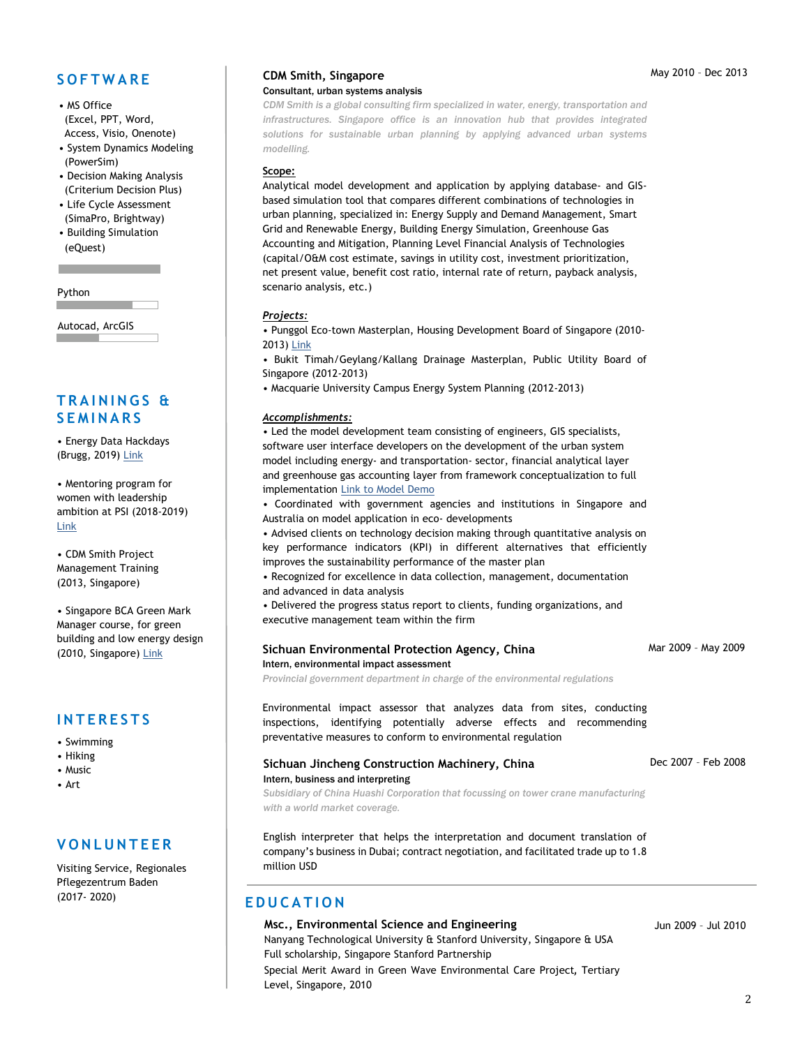## **S O F T W A R E**

- MS Office (Excel, PPT, Word, Access, Visio, Onenote)
- System Dynamics Modeling (PowerSim)
- Decision Making Analysis (Criterium Decision Plus)
- Life Cycle Assessment (SimaPro, Brightway)
- Building Simulation (eQuest)

Python

Autocad, ArcGIS

## **T R A I N I N G S & S E M I N A R S**

• Energy Data Hackdays (Brugg, 2019) [Link](https://hack.opendata.ch/project/335)

• Mentoring program for women with leadership ambition at PSI (2018-2019) [Link](https://www.psi.ch/chancengleichheit/women-with-leadership-ambitions)

• CDM Smith Project Management Training (2013, Singapore)

• Singapore BCA Green Mark Manager course, for green building and low energy design (2010, Singapore) [Link](https://www.bcaa.edu.sg/what-we-offer/courses?CourseId=103f25c2-3230-6ef1-b0a0-ff0000a28c6c)

## **I N T E R E S T S**

- Swimming
- Hiking
- Music
- Art

## **V O N L U N T E E R**

Visiting Service, Regionales Pflegezentrum Baden (2017- 2020)

#### **CDM Smith, Singapore** Consultant, urban systems analysis

*CDM Smith is a global consulting firm specialized in water, energy, transportation and infrastructures. Singapore office is an innovation hub that provides integrated solutions for sustainable urban planning by applying advanced urban systems modelling.*

#### **Scope:**

Analytical model development and application by applying database- and GISbased simulation tool that compares different combinations of technologies in urban planning, specialized in: Energy Supply and Demand Management, Smart Grid and Renewable Energy, Building Energy Simulation, Greenhouse Gas Accounting and Mitigation, Planning Level Financial Analysis of Technologies (capital/O&M cost estimate, savings in utility cost, investment prioritization, net present value, benefit cost ratio, internal rate of return, payback analysis, scenario analysis, etc.)

#### *Projects:*

- Punggol Eco-town Masterplan, Housing Development Board of Singapore (2010- 2013) [Link](http://www.hdb.gov.sg/cs/infoweb/about-us/our-role/smart-and-sustainable-living/punggol-eco-town)
- Bukit Timah/Geylang/Kallang Drainage Masterplan, Public Utility Board of Singapore (2012-2013)
- Macquarie University Campus Energy System Planning (2012-2013)

#### *Accomplishments:*

• Led the model development team consisting of engineers, GIS specialists, software user interface developers on the development of the urban system model including energy- and transportation- sector, financial analytical layer and greenhouse gas accounting layer from framework conceptualization to full implementation [Link to Model Demo](https://youtu.be/shGBouVd8V4)

• Coordinated with government agencies and institutions in Singapore and Australia on model application in eco- developments

• Advised clients on technology decision making through quantitative analysis on key performance indicators (KPI) in different alternatives that efficiently improves the sustainability performance of the master plan

• Recognized for excellence in data collection, management, documentation and advanced in data analysis

• Delivered the progress status report to clients, funding organizations, and executive management team within the firm

#### **Sichuan Environmental Protection Agency, China** Intern, environmental impact assessment

*Provincial government department in charge of the environmental regulations*

Environmental impact assessor that analyzes data from sites, conducting inspections, identifying potentially adverse effects and recommending preventative measures to conform to environmental regulation

#### **Sichuan Jincheng Construction Machinery, China** Intern, business and interpreting

Dec 2007 – Feb 2008

Mar 2009 – May 2009

*Subsidiary of China Huashi Corporation that focussing on tower crane manufacturing with a world market coverage.*

English interpreter that helps the interpretation and document translation of company's business in Dubai; contract negotiation, and facilitated trade up to 1.8 million USD

## **E D U C A T I O N**

**Msc., Environmental Science and Engineering**  Nanyang Technological University & Stanford University, Singapore & USA Full scholarship, Singapore Stanford Partnership Special Merit Award in Green Wave Environmental Care Project, Tertiary Level, Singapore, 2010

#### Jun 2009 – Jul 2010

#### May 2010 – Dec 2013